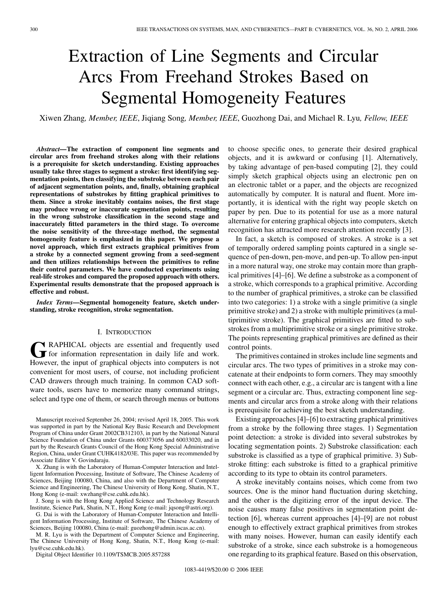# Extraction of Line Segments and Circular Arcs From Freehand Strokes Based on Segmental Homogeneity Features

Xiwen Zhang*, Member, IEEE*, Jiqiang Song*, Member, IEEE*, Guozhong Dai, and Michael R. Lyu*, Fellow, IEEE*

*Abstract—***The extraction of component line segments and circular arcs from freehand strokes along with their relations is a prerequisite for sketch understanding. Existing approaches usually take three stages to segment a stroke: first identifying segmentation points, then classifying the substroke between each pair of adjacent segmentation points, and, finally, obtaining graphical representations of substrokes by fitting graphical primitives to them. Since a stroke inevitably contains noises, the first stage may produce wrong or inaccurate segmentation points, resulting in the wrong substroke classification in the second stage and inaccurately fitted parameters in the third stage. To overcome the noise sensitivity of the three-stage method, the segmental homogeneity feature is emphasized in this paper. We propose a novel approach, which first extracts graphical primitives from a stroke by a connected segment growing from a seed-segment and then utilizes relationships between the primitives to refine their control parameters. We have conducted experiments using real-life strokes and compared the proposed approach with others. Experimental results demonstrate that the proposed approach is effective and robust.**

*Index Terms—***Segmental homogeneity feature, sketch understanding, stroke recognition, stroke segmentation.**

# I. INTRODUCTION

GRAPHICAL objects are essential and frequently used<br>for information representation in daily life and work. However, the input of graphical objects into computers is not convenient for most users, of course, not including proficient CAD drawers through much training. In common CAD software tools, users have to memorize many command strings, select and type one of them, or search through menus or buttons

Manuscript received September 26, 2004; revised April 18, 2005. This work was supported in part by the National Key Basic Research and Development Program of China under Grant 2002CB312103, in part by the National Natural Science Foundation of China under Grants 600373056 and 60033020, and in part by the Research Grants Council of the Hong Kong Special Administrative Region, China, under Grant CUHK4182/03E. This paper was recommended by Associate Editor V. Govindaraju.

X. Zhang is with the Laboratory of Human-Computer Interaction and Intelligent Information Processing, Institute of Software, The Chinese Academy of Sciences, Beijing 100080, China, and also with the Department of Computer Science and Engineering, The Chinese University of Hong Kong, Shatin, N.T., Hong Kong (e-mail: xwzhang@cse.cuhk.edu.hk).

J. Song is with the Hong Kong Applied Science and Technology Research Institute, Science Park, Shatin, N.T., Hong Kong (e-mail: jqsong@astri.org).

G. Dai is with the Laboratory of Human-Computer Interaction and Intelligent Information Processing, Institute of Software, The Chinese Academy of Sciences, Beijing 100080, China (e-mail: guozhong@admin.iscas.ac.cn).

M. R. Lyu is with the Department of Computer Science and Engineering, The Chinese University of Hong Kong, Shatin, N.T., Hong Kong (e-mail: lyu@cse.cuhk.edu.hk).

Digital Object Identifier 10.1109/TSMCB.2005.857288

to choose specific ones, to generate their desired graphical objects, and it is awkward or confusing [[1\]](#page-10-0). Alternatively, by taking advantage of pen-based computing [[2\]](#page-10-0), they could simply sketch graphical objects using an electronic pen on an electronic tablet or a paper, and the objects are recognized automatically by computer. It is natural and fluent. More importantly, it is identical with the right way people sketch on paper by pen. Due to its potential for use as a more natural alternative for entering graphical objects into computers, sketch recognition has attracted more research attention recently [\[3](#page-10-0)].

In fact, a sketch is composed of strokes. A stroke is a set of temporally ordered sampling points captured in a single sequence of pen-down, pen-move, and pen-up. To allow pen-input in a more natural way, one stroke may contain more than graphical primitives [[4](#page-10-0)]–[\[6](#page-10-0)]. We define a substroke as a component of a stroke, which corresponds to a graphical primitive. According to the number of graphical primitives, a stroke can be classified into two categories: 1) a stroke with a single primitive (a single primitive stroke) and 2) a stroke with multiple primitives (a multiprimitive stroke). The graphical primitives are fitted to substrokes from a multiprimitive stroke or a single primitive stroke. The points representing graphical primitives are defined as their control points.

The primitives contained in strokes include line segments and circular arcs. The two types of primitives in a stroke may concatenate at their endpoints to form corners. They may smoothly connect with each other, e.g., a circular arc is tangent with a line segment or a circular arc. Thus, extracting component line segments and circular arcs from a stroke along with their relations is prerequisite for achieving the best sketch understanding.

Existing approaches [\[4](#page-10-0)]–[[6\]](#page-10-0) to extracting graphical primitives from a stroke by the following three stages. 1) Segmentation point detection: a stroke is divided into several substrokes by locating segmentation points. 2) Substroke classification: each substroke is classified as a type of graphical primitive. 3) Substroke fitting: each substroke is fitted to a graphical primitive according to its type to obtain its control parameters.

A stroke inevitably contains noises, which come from two sources. One is the minor hand fluctuation during sketching, and the other is the digitizing error of the input device. The noise causes many false positives in segmentation point detection [\[6](#page-10-0)], whereas current approaches [\[4](#page-10-0)]–[[9\]](#page-10-0) are not robust enough to effectively extract graphical primitives from strokes with many noises. However, human can easily identify each substroke of a stroke, since each substroke is a homogeneous one regarding to its graphical feature. Based on this observation,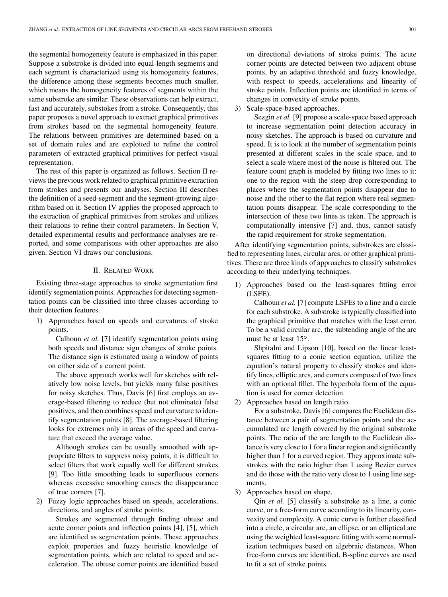the segmental homogeneity feature is emphasized in this paper. Suppose a substroke is divided into equal-length segments and each segment is characterized using its homogeneity features, the difference among these segments becomes much smaller, which means the homogeneity features of segments within the same substroke are similar. These observations can help extract, fast and accurately, substokes from a stroke. Consequently, this paper proposes a novel approach to extract graphical primitives from strokes based on the segmental homogeneity feature. The relations between primitives are determined based on a set of domain rules and are exploited to refine the control parameters of extracted graphical primitives for perfect visual representation.

The rest of this paper is organized as follows. Section II reviews the previous work related to graphical primitive extraction from strokes and presents our analyses. Section III describes the definition of a seed-segment and the segment-growing algorithm based on it. Section IV applies the proposed approach to the extraction of graphical primitives from strokes and utilizes their relations to refine their control parameters. In Section V, detailed experimental results and performance analyses are reported, and some comparisons with other approaches are also given. Section VI draws our conclusions.

## II. RELATED WORK

Existing three-stage approaches to stroke segmentation first identify segmentation points. Approaches for detecting segmentation points can be classified into three classes according to their detection features.

1) Approaches based on speeds and curvatures of stroke points.

Calhoun *et al.* [\[7](#page-10-0)] identify segmentation points using both speeds and distance sign changes of stroke points. The distance sign is estimated using a window of points on either side of a current point.

The above approach works well for sketches with relatively low noise levels, but yields many false positives for noisy sketches. Thus, Davis [\[6](#page-10-0)] first employs an average-based filtering to reduce (but not eliminate) false positives, and then combines speed and curvature to identify segmentation points [[8\]](#page-10-0). The average-based filtering looks for extremes only in areas of the speed and curvature that exceed the average value.

Although strokes can be usually smoothed with appropriate filters to suppress noisy points, it is difficult to select filters that work equally well for different strokes [\[9](#page-10-0)]. Too little smoothing leads to superfluous corners whereas excessive smoothing causes the disappearance of true corners [\[7](#page-10-0)].

2) Fuzzy logic approaches based on speeds, accelerations, directions, and angles of stroke points.

Strokes are segmented through finding obtuse and acute corner points and inflection points [[4\]](#page-10-0), [[5\]](#page-10-0), which are identified as segmentation points. These approaches exploit properties and fuzzy heuristic knowledge of segmentation points, which are related to speed and acceleration. The obtuse corner points are identified based on directional deviations of stroke points. The acute corner points are detected between two adjacent obtuse points, by an adaptive threshold and fuzzy knowledge, with respect to speeds, accelerations and linearity of stroke points. Inflection points are identified in terms of changes in convexity of stroke points.

3) Scale-space-based approaches.

Sezgin *et al.* [[9\]](#page-10-0) propose a scale-space based approach to increase segmentation point detection accuracy in noisy sketches. The approach is based on curvature and speed. It is to look at the number of segmentation points presented at different scales in the scale space, and to select a scale where most of the noise is filtered out. The feature count graph is modeled by fitting two lines to it: one to the region with the steep drop corresponding to places where the segmentation points disappear due to noise and the other to the flat region where real segmentation points disappear. The scale corresponding to the intersection of these two lines is taken. The approach is computationally intensive [[7\]](#page-10-0) and, thus, cannot satisfy the rapid requirement for stroke segmentation.

After identifying segmentation points, substrokes are classified to representing lines, circular arcs, or other graphical primitives. There are three kinds of approaches to classify substrokes according to their underlying techniques.

1) Approaches based on the least-squares fitting error (LSFE).

Calhoun *et al.* [[7\]](#page-10-0) compute LSFEs to a line and a circle for each substroke. A substroke is typically classified into the graphical primitive that matches with the least error. To be a valid circular arc, the subtending angle of the arc must be at least  $15^\circ$ .

Shpitalni and Lipson [\[10](#page-10-0)], based on the linear leastsquares fitting to a conic section equation, utilize the equation's natural property to classify strokes and identify lines, elliptic arcs, and corners composed of two lines with an optional fillet. The hyperbola form of the equation is used for corner detection.

2) Approaches based on length ratio.

For a substroke, Davis [\[6](#page-10-0)] compares the Euclidean distance between a pair of segmentation points and the accumulated arc length covered by the original substroke points. The ratio of the arc length to the Euclidean distance is very close to 1 for a linear region and significantly higher than 1 for a curved region. They approximate substrokes with the ratio higher than 1 using Bezier curves and do those with the ratio very close to 1 using line segments.

3) Approaches based on shape.

Qin *et al.* [\[5](#page-10-0)] classify a substroke as a line, a conic curve, or a free-form curve according to its linearity, convexity and complexity. A conic curve is further classified into a circle, a circular arc, an ellipse, or an elliptical arc using the weighted least-square fitting with some normalization techniques based on algebraic distances. When free-form curves are identified, B-spline curves are used to fit a set of stroke points.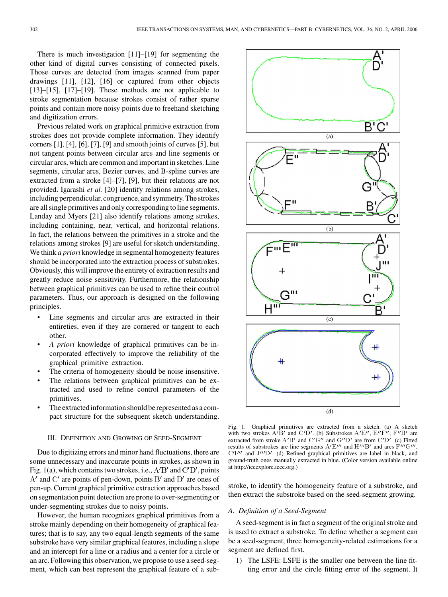There is much investigation [\[11](#page-10-0)]–[[19\]](#page-10-0) for segmenting the other kind of digital curves consisting of connected pixels. Those curves are detected from images scanned from paper drawings [\[11](#page-10-0)], [[12\]](#page-10-0), [[16\]](#page-10-0) or captured from other objects  $[13]$  $[13]$ – $[15]$  $[15]$ ,  $[17]$  $[17]$ – $[19]$  $[19]$ . These methods are not applicable to stroke segmentation because strokes consist of rather sparse points and contain more noisy points due to freehand sketching and digitization errors.

Previous related work on graphical primitive extraction from strokes does not provide complete information. They identify corners [\[1](#page-10-0)], [[4\]](#page-10-0), [\[6](#page-10-0)], [[7\]](#page-10-0), [[9\]](#page-10-0) and smooth joints of curves [\[5](#page-10-0)], but not tangent points between circular arcs and line segments or circular arcs, which are common and important in sketches. Line segments, circular arcs, Bezier curves, and B-spline curves are extracted from a stroke [\[4](#page-10-0)]–[[7\]](#page-10-0), [[9\]](#page-10-0), but their relations are not provided. Igarashi *et al.* [\[20](#page-10-0)] identify relations among strokes, including perpendicular, congruence, and symmetry. The strokes are all single primitives and only corresponding to line segments. Landay and Myers [\[21](#page-10-0)] also identify relations among strokes, including containing, near, vertical, and horizontal relations. In fact, the relations between the primitives in a stroke and the relations among strokes [\[9](#page-10-0)] are useful for sketch understanding. We think *a priori* knowledge in segmental homogeneity features should be incorporated into the extraction process of substrokes. Obviously, this will improve the entirety of extraction results and greatly reduce noise sensitivity. Furthermore, the relationship between graphical primitives can be used to refine their control parameters. Thus, our approach is designed on the following principles.

- Line segments and circular arcs are extracted in their entireties, even if they are cornered or tangent to each other.
- *A priori* knowledge of graphical primitives can be incorporated effectively to improve the reliability of the graphical primitive extraction.
- The criteria of homogeneity should be noise insensitive.
- The relations between graphical primitives can be extracted and used to refine control parameters of the primitives.
- The extracted information should be represented as a compact structure for the subsequent sketch understanding.

## III. DEFINITION AND GROWING OF SEED-SEGMENT

Due to digitizing errors and minor hand fluctuations, there are some unnecessary and inaccurate points in strokes, as shown in Fig. 1(a), which contains two strokes, i.e.,  $A'B'$  and  $C'D'$ , points A' and C' are points of pen-down, points B' and D' are ones of pen-up. Current graphical primitive extraction approaches based on segmentation point detection are prone to over-segmenting or under-segmenting strokes due to noisy points.

However, the human recognizes graphical primitives from a stroke mainly depending on their homogeneity of graphical features; that is to say, any two equal-length segments of the same substroke have very similar graphical features, including a slope and an intercept for a line or a radius and a center for a circle or an arc. Following this observation, we propose to use a seed-segment, which can best represent the graphical feature of a sub-



Fig. 1. Graphical primitives are extracted from a sketch. (a) A sketch with two strokes  $A'B'$  and  $C'D'$ . (b) Substrokes  $A'E''$ ,  $E''F''$ ,  $F''B'$  are extracted from stroke A'B' and  $C'G''$  and  $G''D'$  are from  $C'D'$ . (c) Fitted results of substrokes are line segments  $A'E'''$  and  $H'''B'$  and arcs  $\overline{F}'''G'''$ ,  $C'I'''$  and  $J'''D'$ . (d) Refined graphical primitives are label in black, and ground-truth ones manually extracted in blue. (Color version available online at http://ieeexplore.ieee.org.)

stroke, to identify the homogeneity feature of a substroke, and then extract the substroke based on the seed-segment growing.

#### *A. Definition of a Seed-Segment*

A seed-segment is in fact a segment of the original stroke and is used to extract a substroke. To define whether a segment can be a seed-segment, three homogeneity-related estimations for a segment are defined first.

1) The LSFE: LSFE is the smaller one between the line fitting error and the circle fitting error of the segment. It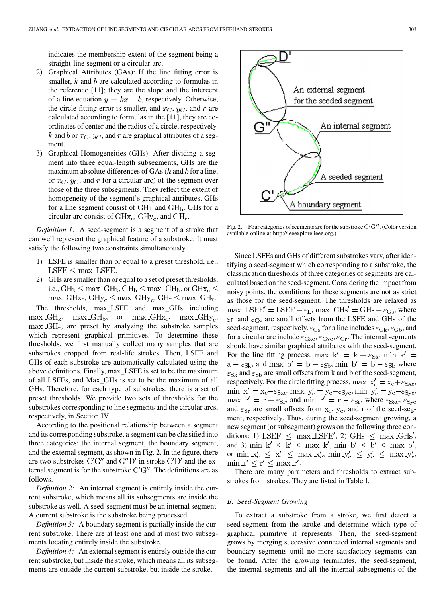indicates the membership extent of the segment being a straight-line segment or a circular arc.

- 2) Graphical Attributes (GAs): If the line fitting error is smaller,  $k$  and  $b$  are calculated according to formulas in the reference [[11\]](#page-10-0); they are the slope and the intercept of a line equation  $y = kx + b$ , respectively. Otherwise, the circle fitting error is smaller, and  $x_C$ ,  $y_C$ , and r are calculated according to formulas in the [\[11](#page-10-0)], they are coordinates of center and the radius of a circle, respectively. k and b or  $x_C$ ,  $y_C$ , and r are graphical attributes of a segment.
- 3) Graphical Homogeneities (GHs): After dividing a segment into three equal-length subsegments, GHs are the maximum absolute differences of GAs  $(k \text{ and } b \text{ for a line})$ or  $x_C$ ,  $y_C$ , and r for a circular arc) of the segment over those of the three subsegments. They reflect the extent of homogeneity of the segment's graphical attributes. GHs for a line segment consist of  $\text{GH}_k$  and  $\text{GH}_b$ . GHs for a circular arc consist of  $\text{GHz}_{c}$ ,  $\text{GHz}_{c}$ , and  $\text{GHz}_{r}$ .

*Definition 1:* A seed-segment is a segment of a stroke that can well represent the graphical feature of a substroke. It must satisfy the following two constraints simultaneously.

- 1) LSFE is smaller than or equal to a preset threshold, i.e.,  $LSFE <$  max  $LSFE$ .
- 2) GHs are smaller than or equal to a set of preset thresholds, i.e.,  $\text{GH}_k \leq \max$   $\text{GH}_k$ ,  $\text{GH}_b \leq \max$   $\text{GH}_b$ , or  $\text{GH}_{X_c} \leq$  $\max$   $\text{GHz}_c$ ,  $\text{GHz}_c \leq \max$   $\text{GHz}_c$ ,  $\text{GHz}_r \leq \max$   $\text{GHz}_r$ .

The thresholds, max\_LSFE and max\_GHs including  $\max$  GH<sub>k</sub>,  $\max$  GH<sub>b</sub>, or  $\max$  GH<sub>xc</sub>,  $\max$  GH<sub>y<sub>c</sub></sub>,  $\max$  GH<sub>r</sub>, are preset by analyzing the substroke samples which represent graphical primitives. To determine these thresholds, we first manually collect many samples that are substrokes cropped from real-life strokes. Then, LSFE and GHs of each substroke are automatically calculated using the above definitions. Finally, max\_LSFE is set to be the maximum of all LSFEs, and Max\_GHs is set to be the maximum of all GHs. Therefore, for each type of substrokes, there is a set of preset thresholds. We provide two sets of thresholds for the substrokes corresponding to line segments and the circular arcs, respectively, in Section IV.

According to the positional relationship between a segment and its corresponding substroke, a segment can be classified into three categories: the internal segment, the boundary segment, and the external segment, as shown in Fig. 2. In the figure, there are two substrokes  $C'G''$  and  $G''D'$  in stroke  $C'D'$  and the external segment is for the substroke  $C'G''$ . The definitions are as follows.

*Definition 2:* An internal segment is entirely inside the current substroke, which means all its subsegments are inside the substroke as well. A seed-segment must be an internal segment. A current substroke is the substroke being processed.

*Definition 3:* A boundary segment is partially inside the current substroke. There are at least one and at most two subsegments locating entirely inside the substroke.

*Definition 4:* An external segment is entirely outside the current substroke, but inside the stroke, which means all its subsegments are outside the current substroke, but inside the stroke.

Fig. 2. Four categories of segments are for the substroke  $C'G''$ . (Color version available online at http://ieeexplore.ieee.org.)

Since LSFEs and GHs of different substrokes vary, after identifying a seed-segment which corresponding to a substroke, the classification thresholds of three categories of segments are calculated based on the seed-segment. Considering the impact from noisy points, the conditions for these segments are not as strict as those for the seed-segment. The thresholds are relaxed as  $max \text{ LSFE}' = LSEF + \varepsilon_L$ ,  $max \text{ -GHz}' = GHz + \varepsilon_{Gs}$ , where  $\varepsilon_{\rm L}$  and  $\varepsilon_{\rm Gs}$  are small offsets from the LSFE and GHs of the seed-segment, respectively.  $\varepsilon_{\rm Gs}$  for a line includes  $\varepsilon_{\rm Gk}, \varepsilon_{\rm Gb}$ , and for a circular arc include  $\varepsilon_{\rm Gxc}, \varepsilon_{\rm Gyc}, \varepsilon_{\rm Gr}$ . The internal segments should have similar graphical attributes with the seed-segment. For the line fitting process, max  $k' = k + \varepsilon_{Sk}$ , min  $k' =$  $a - \varepsilon_{Sk}$ , and max  $b' = b + \varepsilon_{Sb}$ , min  $b' = b - \varepsilon_{Sb}$  where  $\varepsilon_{Sk}$  and  $\varepsilon_{Sb}$  are small offsets from k and b of the seed-segment, respectively. For the circle fitting process, max  $x'_c = x_c + \varepsilon_{Sxc}$ ,  $\min x_c' = x_c - \varepsilon_{Sxc}, \max y_c' = y_c + \varepsilon_{Syc}, \min y_c' = y_c - \varepsilon_{Syc},$  $\max \tau' = r + \varepsilon_{Sr}$ , and  $\min \tau' = r - \varepsilon_{Sr}$ , where  $\varepsilon_{Sxc}, \varepsilon_{Syc}$ and  $\varepsilon_{Sr}$  are small offsets from  $x_c$ ,  $y_c$ , and r of the seed-segment, respectively. Thus, during the seed-segment growing, a new segment (or subsegment) grows on the following three conditions: 1) LSEF  $\leq$  max LSFE', 2) GHs  $\leq$  max GHs', and 3)  $\min k' \leq k' \leq \max k', \min b' \leq b' \leq \max b',$ or  $\min x'_c \leq x'_c \leq \max x'_c$ ,  $\min y'_c \leq y'_c \leq \max y'_c$ ,  $\min r' \leq r' \leq \max r'.$ 

There are many parameters and thresholds to extract substrokes from strokes. They are listed in Table I.

# *B. Seed-Segment Growing*

To extract a substroke from a stroke, we first detect a seed-segment from the stroke and determine which type of graphical primitive it represents. Then, the seed-segment grows by merging successive connected internal segments and boundary segments until no more satisfactory segments can be found. After the growing terminates, the seed-segment, the internal segments and all the internal subsegments of the

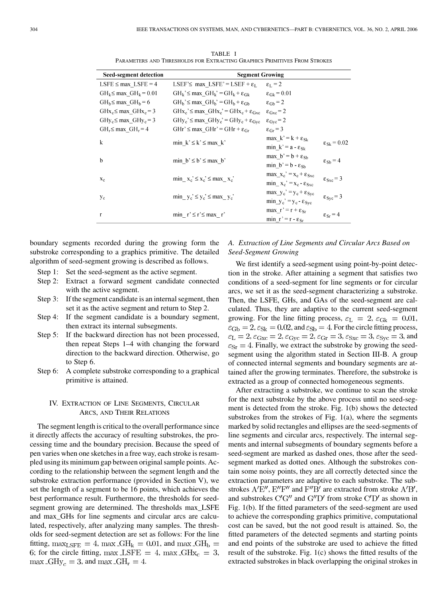| Seed-segment detection                            | <b>Segment Growing</b>                                                                                                             |                                             |                               |  |  |  |
|---------------------------------------------------|------------------------------------------------------------------------------------------------------------------------------------|---------------------------------------------|-------------------------------|--|--|--|
| LSFE $\leq$ max LSFE = 4                          | LSEF's max LSFE' = LSEF + $\varepsilon_L$                                                                                          | $\epsilon_{I} = 2$                          |                               |  |  |  |
| $GH_k \leq max$ $GH_k = 0.01$                     | $GH_k$ ' $\leq$ max $GH_k$ ' $=$ $GH_k$ + $\varepsilon_{Gk}$                                                                       | $\epsilon_{\rm Gk}$ = 0.01                  |                               |  |  |  |
| $GHb \leq max$ $GHb = 6$                          | $\rm{GH}_{h}$ ' $\leq$ max $\rm{GH}_{h}$ ' $=$ $\rm{GH}_{h}$ + $\epsilon$ <sub>Gh</sub>                                            | $\epsilon_{\text{Gb}} = 2$                  |                               |  |  |  |
| $\text{GHz}_c \leq \text{max} \ \text{GHz}_c = 3$ | GHx <sub>c</sub> ' $\leq$ max GHx <sub>c</sub> ' = GHx <sub>c</sub> + $\varepsilon$ <sub>Gxc</sub> = $\epsilon$ <sub>Gxc</sub> = 2 |                                             |                               |  |  |  |
| $GHz_c \leq max$ GHy <sub>c</sub> = 3             | $GHy_c' \leq max$ $GHy_c' = GHy_c + \varepsilon_{Gvc}$                                                                             | $\epsilon_{\rm Gvc} = 2$                    |                               |  |  |  |
| $GH_r \leq max_GH_r = 4$                          | GHr' $\leq$ max GHr' = GHr + $\varepsilon_{\text{Gr}}$                                                                             | $\epsilon_{\rm Gr} = 3$                     |                               |  |  |  |
| k                                                 |                                                                                                                                    | max $k^3 = k + \varepsilon_{Sk}$            | $\epsilon_{Sk} = 0.02$        |  |  |  |
|                                                   | min $k' \leq k' \leq max$ k'                                                                                                       | min $k' = a - \varepsilon_{Sk}$             |                               |  |  |  |
| b                                                 | min $b' \leq b' \leq max b'$                                                                                                       | max $b' = b + \varepsilon_{Sh}$             | $\varepsilon_{\text{Sb}} = 4$ |  |  |  |
|                                                   |                                                                                                                                    | min $b' = b - \varepsilon_{Sh}$             |                               |  |  |  |
| $x_c$                                             | min $x_c' \le x_c' \le max x_c'$                                                                                                   | max $x_c' = x_c + \varepsilon_{Sxc}$        | $\epsilon_{Sxc}$ = 3          |  |  |  |
|                                                   |                                                                                                                                    | $\min x_c' = x_c - \varepsilon_{Sxc}$       |                               |  |  |  |
| Уc                                                | min $v_c' \le v_c' \le max$ $v_c'$                                                                                                 | $max_y^{\bullet} = y_c + \varepsilon_{Syc}$ | $\epsilon_{\text{Syc}} = 3$   |  |  |  |
|                                                   |                                                                                                                                    | $min_y c' = y_c - \varepsilon_{Syc}$        |                               |  |  |  |
| r                                                 | min $r' \le r' \le max r'$                                                                                                         | max $r' = r + \varepsilon_{Sr}$             | $\epsilon_{\rm Sr} = 4$       |  |  |  |
|                                                   |                                                                                                                                    | min $r' = r - \varepsilon_{Sr}$             |                               |  |  |  |

TABLE I PARAMETERS AND THRESHOLDS FOR EXTRACTING GRAPHICS PRIMITIVES FROM STROKES

boundary segments recorded during the growing form the substroke corresponding to a graphics primitive. The detailed algorithm of seed-segment growing is described as follows.

- Step 1: Set the seed-segment as the active segment.
- Step 2: Extract a forward segment candidate connected with the active segment.
- Step 3: If the segment candidate is an internal segment, then set it as the active segment and return to Step 2.
- Step 4: If the segment candidate is a boundary segment, then extract its internal subsegments.
- Step 5: If the backward direction has not been processed, then repeat Steps 1–4 with changing the forward direction to the backward direction. Otherwise, go to Step 6.
- Step 6: A complete substroke corresponding to a graphical primitive is attained.

# IV. EXTRACTION OF LINE SEGMENTS, CIRCULAR ARCS, AND THEIR RELATIONS

The segment length is critical to the overall performance since it directly affects the accuracy of resulting substrokes, the processing time and the boundary precision. Because the speed of pen varies when one sketches in a free way, each stroke is resampled using its minimum gap between original sample points. According to the relationship between the segment length and the substroke extraction performance (provided in Section V), we set the length of a segment to be 16 points, which achieves the best performance result. Furthermore, the thresholds for seedsegment growing are determined. The thresholds max\_LSFE and max\_GHs for line segments and circular arcs are calculated, respectively, after analyzing many samples. The thresholds for seed-segment detection are set as follows: For the line fitting,  $\max_{\text{LSFE}} = 4$ ,  $\max_{\text{GH}_k} = 0.01$ , and  $\max_{\text{GH}_k} =$ 6; for the circle fitting, max LSFE = 4, max  $\text{GHx}_c = 3$ , max  $-GHy_c = 3$ , and max  $-GH_r = 4$ .

# *A. Extraction of Line Segments and Circular Arcs Based on Seed-Segment Growing*

We first identify a seed-segment using point-by-point detection in the stroke. After attaining a segment that satisfies two conditions of a seed-segment for line segments or for circular arcs, we set it as the seed-segment characterizing a substroke. Then, the LSFE, GHs, and GAs of the seed-segment are calculated. Thus, they are adaptive to the current seed-segment growing. For the line fitting process,  $\varepsilon_{\rm L} = 2$ ,  $\varepsilon_{\rm Gk} = 0.01$ ,  $\varepsilon_{\text{Gb}} = 2, \varepsilon_{\text{Sk}} = 0.02$ , and  $\varepsilon_{\text{Sb}} = 4$ . For the circle fitting process,  $\varepsilon_{\rm L} = 2, \varepsilon_{\rm Gxc} = 2, \varepsilon_{\rm Gyc} = 2, \varepsilon_{\rm Gr} = 3, \varepsilon_{\rm Sxc} = 3, \varepsilon_{\rm Syc} = 3$ , and  $\varepsilon_{\rm Sr} = 4$ . Finally, we extract the substroke by growing the seedsegment using the algorithm stated in Section III-B. A group of connected internal segments and boundary segments are attained after the growing terminates. Therefore, the substroke is extracted as a group of connected homogeneous segments.

After extracting a substroke, we continue to scan the stroke for the next substroke by the above process until no seed-segment is detected from the stroke. Fig. 1(b) shows the detected substrokes from the strokes of Fig.  $1(a)$ , where the segments marked by solid rectangles and ellipses are the seed-segments of line segments and circular arcs, respectively. The internal segments and internal subsegments of boundary segments before a seed-segment are marked as dashed ones, those after the seedsegment marked as dotted ones. Although the substrokes contain some noisy points, they are all correctly detected since the extraction parameters are adaptive to each substroke. The substrokes  $A'E''$ ,  $E''F''$  and  $F''B'$  are extracted from stroke  $A'B'$ , and substrokes  $C'G''$  and  $G''D'$  from stroke  $C'D'$  as shown in Fig. 1(b). If the fitted parameters of the seed-segment are used to achieve the corresponding graphics primitive, computational cost can be saved, but the not good result is attained. So, the fitted parameters of the detected segments and starting points and end points of the substroke are used to achieve the fitted result of the substroke. Fig. 1(c) shows the fitted results of the extracted substrokes in black overlapping the original strokes in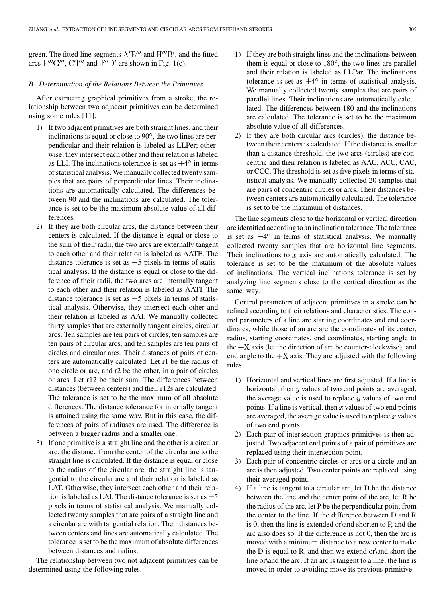green. The fitted line segments  $A'E'''$  and  $H'''B'$ , and the fitted arcs  $F'''G'''$ ,  $C'I'''$  and  $J'''D'$  are shown in Fig. 1(c).

## *B. Determination of the Relations Between the Primitives*

After extracting graphical primitives from a stroke, the relationship between two adjacent primitives can be determined using some rules [\[11](#page-10-0)].

- 1) If two adjacent primitives are both straight lines, and their inclinations is equal or close to  $90^\circ$ , the two lines are perpendicular and their relation is labeled as LLPer; otherwise, they intersect each other and their relation is labeled as LLI. The inclinations tolerance is set as  $\pm 4^{\circ}$  in terms of statistical analysis. We manually collected twenty samples that are pairs of perpendicular lines. Their inclinations are automatically calculated. The differences between 90 and the inclinations are calculated. The tolerance is set to be the maximum absolute value of all differences.
- 2) If they are both circular arcs, the distance between their centers is calculated. If the distance is equal or close to the sum of their radii, the two arcs are externally tangent to each other and their relation is labeled as AATE. The distance tolerance is set as  $\pm 5$  pixels in terms of statistical analysis. If the distance is equal or close to the difference of their radii, the two arcs are internally tangent to each other and their relation is labeled as AATI. The distance tolerance is set as  $\pm 5$  pixels in terms of statistical analysis. Otherwise, they intersect each other and their relation is labeled as AAI. We manually collected thirty samples that are externally tangent circles, circular arcs. Ten samples are ten pairs of circles, ten samples are ten pairs of circular arcs, and ten samples are ten pairs of circles and circular arcs. Their distances of pairs of centers are automatically calculated. Let r1 be the radius of one circle or arc, and r2 be the other, in a pair of circles or arcs. Let r12 be their sum. The differences between distances (between centers) and their r12s are calculated. The tolerance is set to be the maximum of all absolute differences. The distance tolerance for internally tangent is attained using the same way. But in this case, the differences of pairs of radiuses are used. The difference is between a bigger radius and a smaller one.
- 3) If one primitive is a straight line and the other is a circular arc, the distance from the center of the circular arc to the straight line is calculated. If the distance is equal or close to the radius of the circular arc, the straight line is tangential to the circular arc and their relation is labeled as LAT. Otherwise, they intersect each other and their relation is labeled as LAI. The distance tolerance is set as  $\pm 5$ pixels in terms of statistical analysis. We manually collected twenty samples that are pairs of a straight line and a circular arc with tangential relation. Their distances between centers and lines are automatically calculated. The tolerance is set to be the maximum of absolute differences between distances and radius.

The relationship between two not adjacent primitives can be determined using the following rules.

- 1) If they are both straight lines and the inclinations between them is equal or close to  $180^\circ$ , the two lines are parallel and their relation is labeled as LLPar. The inclinations tolerance is set as  $\pm 4^{\circ}$  in terms of statistical analysis. We manually collected twenty samples that are pairs of parallel lines. Their inclinations are automatically calculated. The differences between 180 and the inclinations are calculated. The tolerance is set to be the maximum absolute value of all differences.
- 2) If they are both circular arcs (circles), the distance between their centers is calculated. If the distance is smaller than a distance threshold, the two arcs (circles) are concentric and their relation is labeled as AAC, ACC, CAC, or CCC. The threshold is set as five pixels in terms of statistical analysis. We manually collected 20 samples that are pairs of concentric circles or arcs. Their distances between centers are automatically calculated. The tolerance is set to be the maximum of distances.

The line segments close to the horizontal or vertical direction are identified according to an inclination tolerance. The tolerance is set as  $\pm 4^{\circ}$  in terms of statistical analysis. We manually collected twenty samples that are horizontal line segments. Their inclinations to  $x$  axis are automatically calculated. The tolerance is set to be the maximum of the absolute values of inclinations. The vertical inclinations tolerance is set by analyzing line segments close to the vertical direction as the same way.

Control parameters of adjacent primitives in a stroke can be refined according to their relations and characteristics. The control parameters of a line are starting coordinates and end coordinates, while those of an arc are the coordinates of its center, radius, starting coordinates, end coordinates, starting angle to the  $+X$  axis (let the direction of arc be counter-clockwise), and end angle to the  $+X$  axis. They are adjusted with the following rules.

- 1) Horizontal and vertical lines are first adjusted. If a line is horizontal, then  $y$  values of two end points are averaged, the average value is used to replace  $y$  values of two end points. If a line is vertical, then  $x$  values of two end points are averaged, the average value is used to replace  $x$  values of two end points.
- 2) Each pair of intersection graphics primitives is then adjusted. Two adjacent end points of a pair of primitives are replaced using their intersection point.
- 3) Each pair of concentric circles or arcs or a circle and an arc is then adjusted. Two center points are replaced using their averaged point.
- 4) If a line is tangent to a circular arc, let D be the distance between the line and the center point of the arc, let R be the radius of the arc, let P be the perpendicular point from the center to the line. If the difference between D and R is 0, then the line is extended or\and shorten to P, and the arc also does so. If the difference is not 0, then the arc is moved with a minimum distance to a new center to make the D is equal to R. and then we extend or\and short the line or\and the arc. If an arc is tangent to a line, the line is moved in order to avoiding move its previous primitive.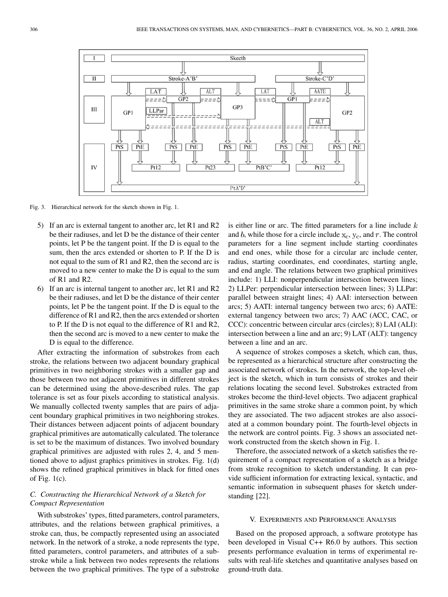

Fig. 3. Hierarchical network for the sketch shown in Fig. 1.

- 5) If an arc is external tangent to another arc, let R1 and R2 be their radiuses, and let D be the distance of their center points, let P be the tangent point. If the D is equal to the sum, then the arcs extended or shorten to P. If the D is not equal to the sum of R1 and R2, then the second arc is moved to a new center to make the D is equal to the sum of R1 and R2.
- 6) If an arc is internal tangent to another arc, let R1 and R2 be their radiuses, and let D be the distance of their center points, let P be the tangent point. If the D is equal to the difference of R1 and R2, then the arcs extended or shorten to P. If the D is not equal to the difference of R1 and R2, then the second arc is moved to a new center to make the D is equal to the difference.

After extracting the information of substrokes from each stroke, the relations between two adjacent boundary graphical primitives in two neighboring strokes with a smaller gap and those between two not adjacent primitives in different strokes can be determined using the above-described rules. The gap tolerance is set as four pixels according to statistical analysis. We manually collected twenty samples that are pairs of adjacent boundary graphical primitives in two neighboring strokes. Their distances between adjacent points of adjacent boundary graphical primitives are automatically calculated. The tolerance is set to be the maximum of distances. Two involved boundary graphical primitives are adjusted with rules 2, 4, and 5 mentioned above to adjust graphics primitives in strokes. Fig. 1(d) shows the refined graphical primitives in black for fitted ones of Fig. 1(c).

# *C. Constructing the Hierarchical Network of a Sketch for Compact Representation*

With substrokes' types, fitted parameters, control parameters, attributes, and the relations between graphical primitives, a stroke can, thus, be compactly represented using an associated network. In the network of a stroke, a node represents the type, fitted parameters, control parameters, and attributes of a substroke while a link between two nodes represents the relations between the two graphical primitives. The type of a substroke

is either line or arc. The fitted parameters for a line include  $k$ and b, while those for a circle include  $x_c$ ,  $y_c$ , and r. The control parameters for a line segment include starting coordinates and end ones, while those for a circular arc include center, radius, starting coordinates, end coordinates, starting angle, and end angle. The relations between two graphical primitives include: 1) LLI: nonperpendicular intersection between lines; 2) LLPer: perpendicular intersection between lines; 3) LLPar: parallel between straight lines; 4) AAI: intersection between arcs; 5) AATI: internal tangency between two arcs; 6) AATE: external tangency between two arcs; 7) AAC (ACC, CAC, or CCC): concentric between circular arcs (circles); 8) LAI (ALI): intersection between a line and an arc; 9) LAT (ALT): tangency between a line and an arc.

A sequence of strokes composes a sketch, which can, thus, be represented as a hierarchical structure after constructing the associated network of strokes. In the network, the top-level object is the sketch, which in turn consists of strokes and their relations locating the second level. Substrokes extracted from strokes become the third-level objects. Two adjacent graphical primitives in the same stroke share a common point, by which they are associated. The two adjacent strokes are also associated at a common boundary point. The fourth-level objects in the network are control points. Fig. 3 shows an associated network constructed from the sketch shown in Fig. 1.

Therefore, the associated network of a sketch satisfies the requirement of a compact representation of a sketch as a bridge from stroke recognition to sketch understanding. It can provide sufficient information for extracting lexical, syntactic, and semantic information in subsequent phases for sketch understanding [[22\]](#page-10-0).

### V. EXPERIMENTS AND PERFORMANCE ANALYSIS

Based on the proposed approach, a software prototype has been developed in Visual C++ R6.0 by authors. This section presents performance evaluation in terms of experimental results with real-life sketches and quantitative analyses based on ground-truth data.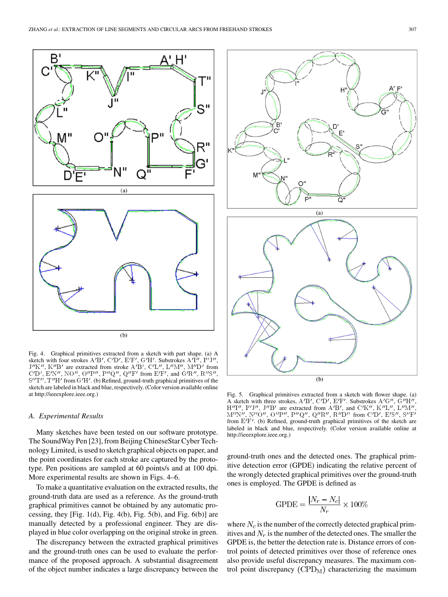

Fig. 4. Graphical primitives extracted from a sketch with part shape. (a) A sketch with four strokes  $A'B'$ ,  $C'D'$ ,  $E'F'$ ,  $G'H'$ . Substrokes  $A'I''$ ,  $I''J''$ ,  $J''K''$ ,  $K''B'$  are extracted from stroke A'B', C'L'', L''M'', M''D' from C'D', E'N", NO", O"P", P"Q", Q"F' from E'F', and G'R", R"S",  $S''T''$ ,  $T''H'$  from  $G'H'$ . (b) Refined, ground-truth graphical primitives of the sketch are labeled in black and blue, respectively. (Color version available online at http://ieeexplore.ieee.org.)

#### *A. Experimental Results*

Many sketches have been tested on our software prototype. The SoundWay Pen [[23\]](#page-10-0), from Beijing ChineseStar Cyber Technology Limited, is used to sketch graphical objects on paper, and the point coordinates for each stroke are captured by the prototype. Pen positions are sampled at 60 points/s and at 100 dpi. More experimental results are shown in Figs. 4–6.

To make a quantitative evaluation on the extracted results, the ground-truth data are used as a reference. As the ground-truth graphical primitives cannot be obtained by any automatic processing, they [Fig. 1(d), Fig. 4(b), Fig. 5(b), and Fig.  $6(b)$ ] are manually detected by a professional engineer. They are displayed in blue color overlapping on the original stroke in green.

The discrepancy between the extracted graphical primitives and the ground-truth ones can be used to evaluate the performance of the proposed approach. A substantial disagreement of the object number indicates a large discrepancy between the



Fig. 5. Graphical primitives extracted from a sketch with flower shape. (a) A sketch with three strokes, A'B', C'D', E'F'. Substrokes A'G",  $\vec{G}'' \vec{H}''$ ,  $H''I'', I''J'', J''B'$  are extracted from A'B', and C'K", K"L", L"M", M"N", N"O", O"P", P"Q", Q"R", R"D" from C'D', E'S", S"F' from  $E'F'$ . (b) Refined, ground-truth graphical primitives of the sketch are labeled in black and blue, respectively. (Color version available online at http://ieeexplore.ieee.org.)

ground-truth ones and the detected ones. The graphical primitive detection error (GPDE) indicating the relative percent of the wrongly detected graphical primitives over the ground-truth ones is employed. The GPDE is defined as

$$
\text{GPDE} = \frac{|N_r - N_c|}{N_r} \times 100\%
$$

where  $N_c$  is the number of the correctly detected graphical primitives and  $N_r$  is the number of the detected ones. The smaller the GPDE is, the better the detection rate is. Distance errors of control points of detected primitives over those of reference ones also provide useful discrepancy measures. The maximum control point discrepancy  $(CPD_M)$  characterizing the maximum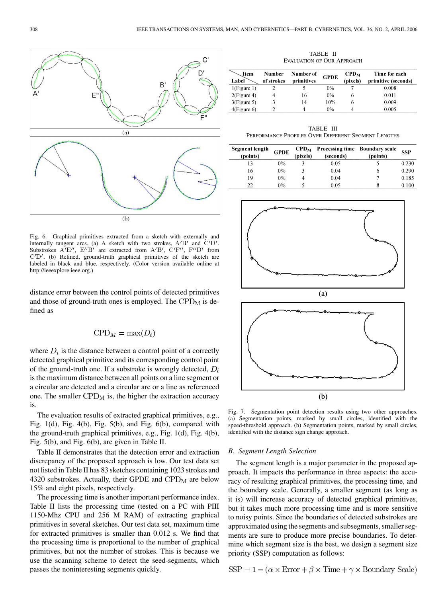

Fig. 6. Graphical primitives extracted from a sketch with externally and internally tangent arcs. (a) A sketch with two strokes,  $A'B'$  and  $C'D'$ . Substrokes  $A'E''$ ,  $E''B'$  are extracted from  $A'B'$ ,  $C'F''$ ,  $F''D'$  from C'D'. (b) Refined, ground-truth graphical primitives of the sketch are labeled in black and blue, respectively. (Color version available online at http://ieeexplore.ieee.org.)

distance error between the control points of detected primitives and those of ground-truth ones is employed. The  $\text{CPD}_{\text{M}}$  is defined as

$$
CPD_M = \max(D_i)
$$

where  $D_i$  is the distance between a control point of a correctly detected graphical primitive and its corresponding control point of the ground-truth one. If a substroke is wrongly detected,  $D_i$ is the maximum distance between all points on a line segment or a circular arc detected and a circular arc or a line as referenced one. The smaller  $\text{CPD}_{\text{M}}$  is, the higher the extraction accuracy is.

The evaluation results of extracted graphical primitives, e.g., Fig. 1(d), Fig. 4(b), Fig. 5(b), and Fig. 6(b), compared with the ground-truth graphical primitives, e.g., Fig. 1(d), Fig. 4(b), Fig. 5(b), and Fig. 6(b), are given in Table II.

Table II demonstrates that the detection error and extraction discrepancy of the proposed approach is low. Our test data set not listed in Table II has 83 sketches containing 1023 strokes and 4320 substrokes. Actually, their GPDE and  $\text{CPD}_{\text{M}}$  are below 15% and eight pixels, respectively.

The processing time is another important performance index. Table II lists the processing time (tested on a PC with PIII 1150-Mhz CPU and 256 M RAM) of extracting graphical primitives in several sketches. Our test data set, maximum time for extracted primitives is smaller than 0.012 s. We find that the processing time is proportional to the number of graphical primitives, but not the number of strokes. This is because we use the scanning scheme to detect the seed-segments, which passes the noninteresting segments quickly.

TABLE II EVALUATION OF OUR APPROACH

| Item<br>Label  | Number<br>of strokes | Number of<br>primitives | <b>GPDE</b> | CPD <sub>M</sub><br>(pixels) | Time for each<br>primitive (seconds) |
|----------------|----------------------|-------------------------|-------------|------------------------------|--------------------------------------|
| 1(Figure 1)    |                      |                         | $0\%$       |                              | 0.008                                |
| 2(Figure 4)    |                      | 16                      | 0%          |                              | 0.011                                |
| 3(Figure 5)    |                      | 14                      | 10%         |                              | 0.009                                |
| $4$ (Figure 6) |                      |                         | $0\%$       |                              | 0.005                                |

TABLE III PERFORMANCE PROFILES OVER DIFFERENT SEGMENT LENGTHS

| Segment length<br>(points) | <b>GPDE</b> | CPD <sub>M</sub><br>(pixels) | <b>Processing time Boundary scale</b><br>(seconds) | (points) | <b>SSP</b> |
|----------------------------|-------------|------------------------------|----------------------------------------------------|----------|------------|
| 13                         | $0\%$       |                              | 0.05                                               |          | 0.230      |
| 16                         | $0\%$       |                              | 0.04                                               | 6        | 0.290      |
| 19                         | $0\%$       |                              | 0.04                                               |          | 0.185      |
| 22                         | $0\%$       |                              | 0.05                                               |          | 0.100      |



Fig. 7. Segmentation point detection results using two other approaches. (a) Segmentation points, marked by small circles, identified with the speed-threshold approach. (b) Segmentation points, marked by small circles, identified with the distance sign change approach.

#### *B. Segment Length Selection*

The segment length is a major parameter in the proposed approach. It impacts the performance in three aspects: the accuracy of resulting graphical primitives, the processing time, and the boundary scale. Generally, a smaller segment (as long as it is) will increase accuracy of detected graphical primitives, but it takes much more processing time and is more sensitive to noisy points. Since the boundaries of detected substrokes are approximated using the segments and subsegments, smaller segments are sure to produce more precise boundaries. To determine which segment size is the best, we design a segment size priority (SSP) computation as follows:

 $SSP = 1 - (\alpha \times Error + \beta \times Time + \gamma \times Boundary Scale)$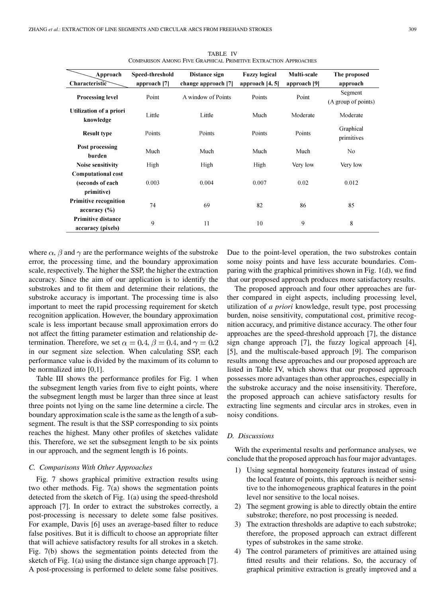| Approach                                                    | Speed-threshold | Distance sign       | <b>Fuzzy logical</b> | Multi-scale  | The proposed                   |
|-------------------------------------------------------------|-----------------|---------------------|----------------------|--------------|--------------------------------|
| Characteristic                                              | approach [7]    | change approach [7] | approach $[4, 5]$    | approach [9] | approach                       |
| <b>Processing level</b>                                     | Point           | A window of Points  | Points               | Point        | Segment<br>(A group of points) |
| Utilization of a priori<br>knowledge                        | Little          | Little              | Much                 | Moderate     | Moderate                       |
| <b>Result type</b>                                          | Points          | Points              | Points               | Points       | Graphical<br>primitives        |
| Post processing<br>burden                                   | Much            | Much                | Much                 | Much         | N <sub>0</sub>                 |
| <b>Noise sensitivity</b>                                    | High            | High                | High                 | Very low     | Very low                       |
| <b>Computational cost</b><br>(seconds of each<br>primitive) | 0.003           | 0.004               | 0.007                | 0.02         | 0.012                          |
| <b>Primitive recognition</b><br>accuracy $(\% )$            | 74              | 69                  | 82                   | 86           | 85                             |
| <b>Primitive distance</b><br>accuracy (pixels)              | 9               | 11                  | 10                   | 9            | 8                              |

TABLE IV COMPARISON AMONG FIVE GRAPHICAL PRIMITIVE EXTRACTION APPROACHES

where  $\alpha$ ,  $\beta$  and  $\gamma$  are the performance weights of the substroke error, the processing time, and the boundary approximation scale, respectively. The higher the SSP, the higher the extraction accuracy. Since the aim of our application is to identify the substrokes and to fit them and determine their relations, the substroke accuracy is important. The processing time is also important to meet the rapid processing requirement for sketch recognition application. However, the boundary approximation scale is less important because small approximation errors do not affect the fitting parameter estimation and relationship determination. Therefore, we set  $\alpha = 0.4$ ,  $\beta = 0.4$ , and  $\gamma = 0.2$ in our segment size selection. When calculating SSP, each performance value is divided by the maximum of its column to be normalized into [0,1].

Table III shows the performance profiles for Fig. 1 when the subsegment length varies from five to eight points, where the subsegment length must be larger than three since at least three points not lying on the same line determine a circle. The boundary approximation scale is the same as the length of a subsegment. The result is that the SSP corresponding to six points reaches the highest. Many other profiles of sketches validate this. Therefore, we set the subsegment length to be six points in our approach, and the segment length is 16 points.

## *C. Comparisons With Other Approaches*

Fig. 7 shows graphical primitive extraction results using two other methods. Fig. 7(a) shows the segmentation points detected from the sketch of Fig. 1(a) using the speed-threshold approach [\[7](#page-10-0)]. In order to extract the substrokes correctly, a post-processing is necessary to delete some false positives. For example, Davis [\[6](#page-10-0)] uses an average-based filter to reduce false positives. But it is difficult to choose an appropriate filter that will achieve satisfactory results for all strokes in a sketch. Fig. 7(b) shows the segmentation points detected from the sketch of Fig. 1(a) using the distance sign change approach [\[7](#page-10-0)]. A post-processing is performed to delete some false positives.

Due to the point-level operation, the two substrokes contain some noisy points and have less accurate boundaries. Comparing with the graphical primitives shown in Fig. 1(d), we find that our proposed approach produces more satisfactory results.

The proposed approach and four other approaches are further compared in eight aspects, including processing level, utilization of *a priori* knowledge, result type, post processing burden, noise sensitivity, computational cost, primitive recognition accuracy, and primitive distance accuracy. The other four approaches are the speed-threshold approach [[7\]](#page-10-0), the distance sign change approach [\[7](#page-10-0)], the fuzzy logical approach [\[4](#page-10-0)], [\[5](#page-10-0)], and the multiscale-based approach [[9\]](#page-10-0). The comparison results among these approaches and our proposed approach are listed in Table IV, which shows that our proposed approach possesses more advantages than other approaches, especially in the substroke accuracy and the noise insensitivity. Therefore, the proposed approach can achieve satisfactory results for extracting line segments and circular arcs in strokes, even in noisy conditions.

# *D. Discussions*

With the experimental results and performance analyses, we conclude that the proposed approach has four major advantages.

- 1) Using segmental homogeneity features instead of using the local feature of points, this approach is neither sensitive to the inhomogeneous graphical features in the point level nor sensitive to the local noises.
- 2) The segment growing is able to directly obtain the entire substroke; therefore, no post processing is needed.
- 3) The extraction thresholds are adaptive to each substroke; therefore, the proposed approach can extract different types of substrokes in the same stroke.
- 4) The control parameters of primitives are attained using fitted results and their relations. So, the accuracy of graphical primitive extraction is greatly improved and a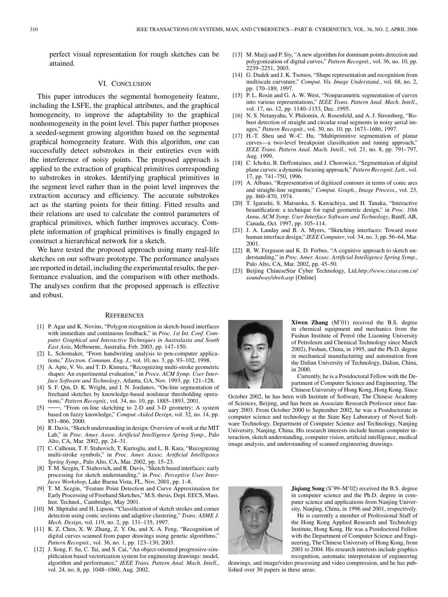<span id="page-10-0"></span>perfect visual representation for rough sketches can be attained.

# VI. CONCLUSION

This paper introduces the segmental homogeneity feature, including the LSFE, the graphical attributes, and the graphical homogeneity, to improve the adaptability to the graphical nonhomogeneity in the point level. This paper further proposes a seeded-segment growing algorithm based on the segmental graphical homogeneity feature. With this algorithm, one can successfully detect substrokes in their entireties even with the interference of noisy points. The proposed approach is applied to the extraction of graphical primitives corresponding to substrokes in strokes. Identifying graphical primitives in the segment level rather than in the point level improves the extraction accuracy and efficiency. The accurate substrokes act as the starting points for their fitting. Fitted results and their relations are used to calculate the control parameters of graphical primitives, which further improves accuracy. Complete information of graphical primitives is finally engaged to construct a hierarchical network for a sketch.

We have tested the proposed approach using many real-life sketches on our software prototype. The performance analyses are reported in detail, including the experimental results, the performance evaluation, and the comparison with other methods. The analyses confirm that the proposed approach is effective and robust.

#### **REFERENCES**

- [1] P. Agar and K. Novins, "Polygon recognition in sketch-based interfaces with immediate and continuous feedback," in *Proc. 1st Int. Conf. Computer Graphical and Interactive Techniques in Australasia and South East Asia*, Melbourne, Australia, Feb. 2003, pp. 147–150.
- [2] L. Schomaker, "From handwriting analysis to pen-computer applications," *Electron. Commun. Eng. J.*, vol. 10, no. 3, pp. 93–102, 1998.
- [3] A. Apte, V. Vo, and T. D. Kimura, "Recognizing multi-stroke geometric shapes: An experimental evaluation," in *Proce. ACM Symp. User Interface Software and Technology*, Atlanta, GA, Nov. 1993, pp. 121–128.
- [4] S. F. Qin, D. K. Wright, and I. N. Jordanov, "On-line segmentation of freehand sketches by knowledge-based nonlinear thresholding operations," *Pattern Recognit.*, vol. 34, no. 10, pp. 1885–1893, 2001.
- [5]  $\rightarrow$  "From on-line sketching to 2-D and 3-D geometry: A system based on fuzzy knowledge," *Comput.-Aided Design*, vol. 32, no. 14, pp. 851–866, 2000.
- [6] R. Davis, "Sketch understanding in design: Overview of work at the MIT Lab," in *Proc. Amer. Assoc. Artificial Intelligence Spring Symp.*, Palo Alto, CA, Mar. 2002, pp. 24–31.
- [7] C. Calhoun, T. F. Stahovich, T. Kurtoglu, and L. B. Kara, "Recognizing multi-stroke symbols," in *Proc. Amer. Assoc. Artificial Intelligence Spring Symp.*, Palo Alto, CA, Mar. 2002, pp. 15–23.
- [8] T. M. Sezgin, T. Stahovich, and R. Davis, "Sketch based interfaces: early processing for sketch understanding," in *Proc. Perceptive User Interfaces Workshop*, Lake Buena Vista, FL, Nov. 2001, pp. 1–8.
- [9] T. M. Sezgin, "Feature Point Detection and Curve Approximation for Early Processing of Freehand Sketches," M.S. thesis, Dept. EECS, Mass. Inst. Technol., Cambridge, May 2001.
- [10] M. Shpitalni and H. Lipson, "Classification of sketch strokes and corner detection using conic sections and adaptive clustering," *Trans. ASME J. Mech. Design*, vol. 119, no. 2, pp. 131–135, 1997.
- [11] K. Z. Chen, X. W. Zhang, Z. Y. Ou, and X. A. Feng, "Recognition of digital curves scanned from paper drawings using genetic algorithms," *Pattern Recognit.*, vol. 36, no. 1, pp. 123–130, 2003.
- [12] J. Song, F. Su, C. Tai, and S. Cai, "An object-oriented progressive-simplification based vectorization system for engineering drawings: model, algorithm and performance," *IEEE Trans. Pattern Anal. Mach. Intell.*, vol. 24, no. 8, pp. 1048–1060, Aug. 2002.
- [13] M. Marji and P. Siy, "A new algorithm for dominant points detection and polygonization of digital curves," *Pattern Recognit.*, vol. 36, no. 10, pp. 2239–2251, 2003.
- [14] G. Dudek and J. K. Tsotsos, "Shape representation and recognition from multiscale curvature," *Comput. Vis. Image Understand.*, vol. 68, no. 2, pp. 170–189, 1997.
- [15] P. L. Rosin and G. A. W. West, "Nonparametric segmentation of curves into various representations," *IEEE Trans. Pattern Anal. Mach. Intell.*, vol. 17, no. 12, pp. 1140–1153, Dec. 1995.
- [16] N. S. Netanyahu, V. Philomin, A. Rosenfeld, and A. J. Stromberg, "Robust detection of straight and circular road segments in noisy aerial images," *Pattern Recognit.*, vol. 30, no. 10, pp. 1673–1686, 1997.
- [17] H.-T. Sheu and W.-C. Hu, "Multiprimitive segmentation of planar curves—a two-level breakpoint classification and tuning approach," *IEEE Trans. Pattern Anal. Mach. Intell.*, vol. 21, no. 8, pp. 791–797, Aug. 1999.
- [18] C. Ichoku, B. Deffontaines, and J. Chorowicz, "Segmentation of digital plane curves: a dynamic focusing approach," *Pattern Recognit. Lett.*, vol. 17, pp. 741–750, 1996.
- [19] A. Albano, "Representation of digitized contours in terms of conic arcs and straight-line segments," *Comput. Graph., Image Process.*, vol. 23, pp. 860–870, 1974.
- [20] T. Igarashi, S. Matsuoka, S. Kawachiya, and H. Tanaka, "Interactive beautification: a technique for rapid geometric design," in *Proc. 10th Annu. ACM Symp. User Interface Software and Technology*, Banff, AB, Canada, Oct. 1997, pp. 105–114.
- [21] J. A. Landay and B. A. Myers, "Sketching interfaces: Toward more human interface design," *IEEE Computer*, vol. 34, no. 3, pp. 56–64, Mar. 2001.
- [22] R. W. Ferguson and K. D. Forbus, "A cognitive approach to sketch understanding," in *Proc. Amer. Assoc. Artificial Intelligence Spring Symp.*, Palo Alto, CA, Mar. 2002, pp. 45–50.
- [23] Beijing ChineseStar Cyber Technology, Ltd.*http://www.cstar.com.cn/ soundway/shwb.asp* [Online]



**Xiwen Zhang** (M'01) received the B.S. degree in chemical equipment and mechanics from the Fushun Institute of Petrol (the Liaoning University of Petroleum and Chemical Technology since March 2002), Fushun, China, in 1995, and the Ph.D. degree in mechanical manufacturing and automation from the Dalian University of Technology, Dalian, China, in 2000.

Currently, he is a Postdoctoral Fellow with the Department of Computer Science and Engineering, The Chinese University of Hong Kong, Hong Kong. Since

October 2002, he has been with Institute of Software, The Chinese Academy of Sciences, Beijing, and has been an Associate Research Professor since January 2003. From October 2000 to September 2002, he was a Postdoctorate in computer science and technology at the State Key Laboratory of Novel Software Technology, Department of Computer Science and Technology, Nanjing University, Nanjing, China. His research interests include human computer interaction, sketch understanding, computer vision, artificial intelligence, medical image analysis, and understanding of scanned engineering drawings.



**Jiqiang Song** (S'99–M'02) received the B.S. degree in computer science and the Ph.D. degree in computer science and applications from Nanjing University, Nanjing, China, in 1996 and 2001, respectively.

He is currently a member of Professional Staff of the Hong Kong Applied Research and Technology Institute, Hong Kong. He was a Postdoctoral Fellow with the Department of Computer Science and Engineering, The Chinese University of Hong Kong, from 2001 to 2004. His research interests include graphics recognition, automatic interpretation of engineering

drawings, and image/video processing and video compression, and he has published over 30 papers in these areas.